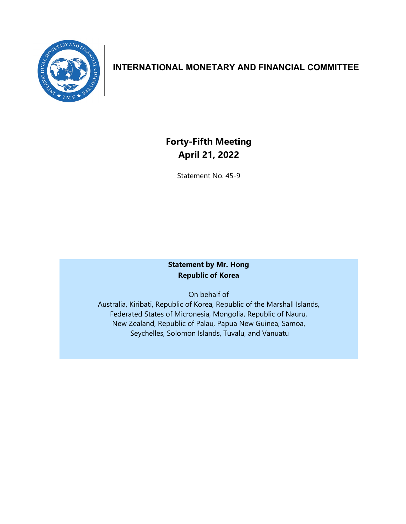

# **INTERNATIONAL MONETARY AND FINANCIAL COMMITTEE**

# **Forty-Fifth Meeting April 21, 2022**

Statement No. 45-9

# **Statement by Mr. Hong Republic of Korea**

On behalf of Australia, Kiribati, Republic of Korea, Republic of the Marshall Islands, Federated States of Micronesia, Mongolia, Republic of Nauru, New Zealand, Republic of Palau, Papua New Guinea, Samoa, Seychelles, Solomon Islands, Tuvalu, and Vanuatu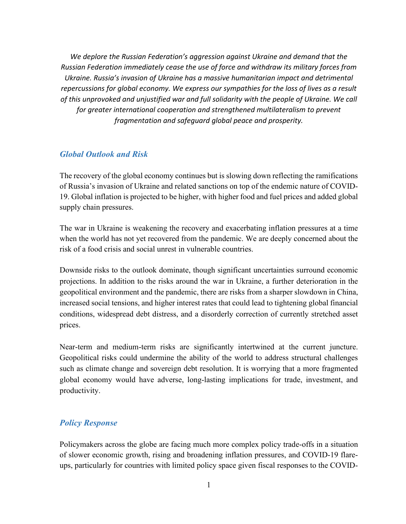*We deplore the Russian Federation's aggression against Ukraine and demand that the Russian Federation immediately cease the use of force and withdraw its military forces from Ukraine. Russia's invasion of Ukraine has a massive humanitarian impact and detrimental repercussions for global economy. We express our sympathies for the loss of lives as a result of this unprovoked and unjustified war and full solidarity with the people of Ukraine. We call for greater international cooperation and strengthened multilateralism to prevent fragmentation and safeguard global peace and prosperity.*

#### *Global Outlook and Risk*

The recovery of the global economy continues but is slowing down reflecting the ramifications of Russia's invasion of Ukraine and related sanctions on top of the endemic nature of COVID-19. Global inflation is projected to be higher, with higher food and fuel prices and added global supply chain pressures.

The war in Ukraine is weakening the recovery and exacerbating inflation pressures at a time when the world has not yet recovered from the pandemic. We are deeply concerned about the risk of a food crisis and social unrest in vulnerable countries.

Downside risks to the outlook dominate, though significant uncertainties surround economic projections. In addition to the risks around the war in Ukraine, a further deterioration in the geopolitical environment and the pandemic, there are risks from a sharper slowdown in China, increased social tensions, and higher interest rates that could lead to tightening global financial conditions, widespread debt distress, and a disorderly correction of currently stretched asset prices.

Near-term and medium-term risks are significantly intertwined at the current juncture. Geopolitical risks could undermine the ability of the world to address structural challenges such as climate change and sovereign debt resolution. It is worrying that a more fragmented global economy would have adverse, long-lasting implications for trade, investment, and productivity.

## *Policy Response*

Policymakers across the globe are facing much more complex policy trade-offs in a situation of slower economic growth, rising and broadening inflation pressures, and COVID-19 flareups, particularly for countries with limited policy space given fiscal responses to the COVID-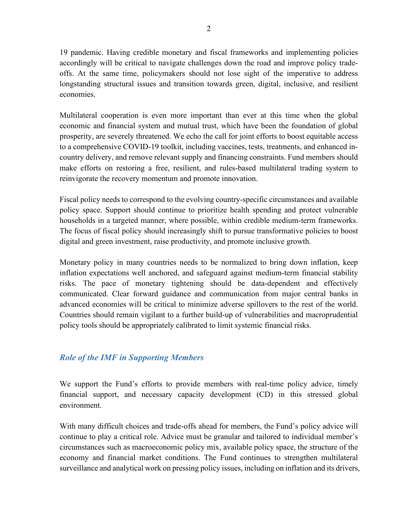19 pandemic. Having credible monetary and fiscal frameworks and implementing policies accordingly will be critical to navigate challenges down the road and improve policy tradeoffs. At the same time, policymakers should not lose sight of the imperative to address longstanding structural issues and transition towards green, digital, inclusive, and resilient economies.

Multilateral cooperation is even more important than ever at this time when the global economic and financial system and mutual trust, which have been the foundation of global prosperity, are severely threatened. We echo the call for joint efforts to boost equitable access to a comprehensive COVID-19 toolkit, including vaccines, tests, treatments, and enhanced incountry delivery, and remove relevant supply and financing constraints. Fund members should make efforts on restoring a free, resilient, and rules-based multilateral trading system to reinvigorate the recovery momentum and promote innovation.

Fiscal policy needs to correspond to the evolving country-specific circumstances and available policy space. Support should continue to prioritize health spending and protect vulnerable households in a targeted manner, where possible, within credible medium-term frameworks. The focus of fiscal policy should increasingly shift to pursue transformative policies to boost digital and green investment, raise productivity, and promote inclusive growth.

Monetary policy in many countries needs to be normalized to bring down inflation, keep inflation expectations well anchored, and safeguard against medium-term financial stability risks. The pace of monetary tightening should be data-dependent and effectively communicated. Clear forward guidance and communication from major central banks in advanced economies will be critical to minimize adverse spillovers to the rest of the world. Countries should remain vigilant to a further build-up of vulnerabilities and macroprudential policy tools should be appropriately calibrated to limit systemic financial risks.

## *Role of the IMF in Supporting Members*

We support the Fund's efforts to provide members with real-time policy advice, timely financial support, and necessary capacity development (CD) in this stressed global environment.

With many difficult choices and trade-offs ahead for members, the Fund's policy advice will continue to play a critical role. Advice must be granular and tailored to individual member's circumstances such as macroeconomic policy mix, available policy space, the structure of the economy and financial market conditions. The Fund continues to strengthen multilateral surveillance and analytical work on pressing policy issues, including on inflation and its drivers,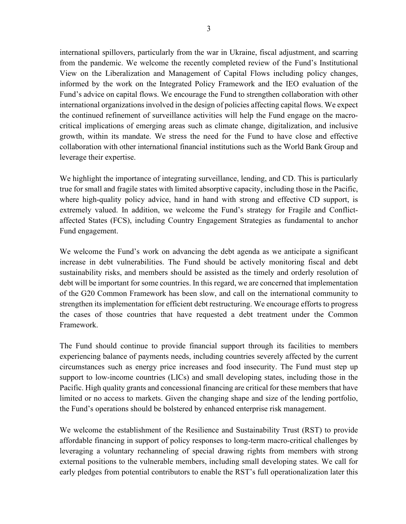international spillovers, particularly from the war in Ukraine, fiscal adjustment, and scarring from the pandemic. We welcome the recently completed review of the Fund's Institutional View on the Liberalization and Management of Capital Flows including policy changes, informed by the work on the Integrated Policy Framework and the IEO evaluation of the Fund's advice on capital flows. We encourage the Fund to strengthen collaboration with other international organizations involved in the design of policies affecting capital flows. We expect the continued refinement of surveillance activities will help the Fund engage on the macrocritical implications of emerging areas such as climate change, digitalization, and inclusive growth, within its mandate. We stress the need for the Fund to have close and effective collaboration with other international financial institutions such as the World Bank Group and leverage their expertise.

We highlight the importance of integrating surveillance, lending, and CD. This is particularly true for small and fragile states with limited absorptive capacity, including those in the Pacific, where high-quality policy advice, hand in hand with strong and effective CD support, is extremely valued. In addition, we welcome the Fund's strategy for Fragile and Conflictaffected States (FCS), including Country Engagement Strategies as fundamental to anchor Fund engagement.

We welcome the Fund's work on advancing the debt agenda as we anticipate a significant increase in debt vulnerabilities. The Fund should be actively monitoring fiscal and debt sustainability risks, and members should be assisted as the timely and orderly resolution of debt will be important for some countries. In this regard, we are concerned that implementation of the G20 Common Framework has been slow, and call on the international community to strengthen its implementation for efficient debt restructuring. We encourage efforts to progress the cases of those countries that have requested a debt treatment under the Common Framework.

The Fund should continue to provide financial support through its facilities to members experiencing balance of payments needs, including countries severely affected by the current circumstances such as energy price increases and food insecurity. The Fund must step up support to low-income countries (LICs) and small developing states, including those in the Pacific. High quality grants and concessional financing are critical for these members that have limited or no access to markets. Given the changing shape and size of the lending portfolio, the Fund's operations should be bolstered by enhanced enterprise risk management.

We welcome the establishment of the Resilience and Sustainability Trust (RST) to provide affordable financing in support of policy responses to long-term macro-critical challenges by leveraging a voluntary rechanneling of special drawing rights from members with strong external positions to the vulnerable members, including small developing states. We call for early pledges from potential contributors to enable the RST's full operationalization later this